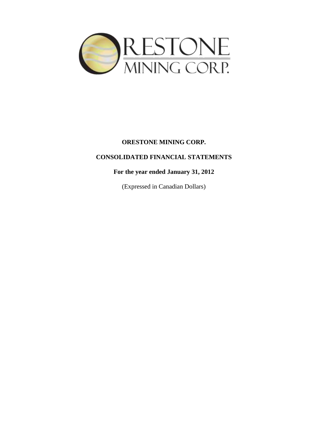

# **CONSOLIDATED FINANCIAL STATEMENTS**

# **For the year ended January 31, 2012**

(Expressed in Canadian Dollars)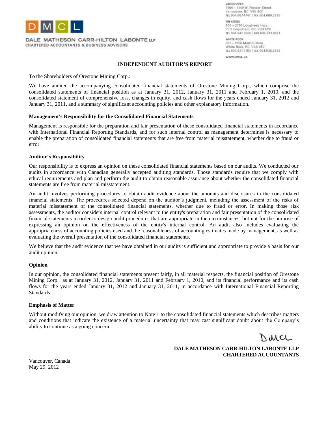

DALE MATHESON CARR-HILTON LABONTE LLP CHARTERED ACCOUNTANTS & BUSINESS ADVISORS

VANCOUVER 1500 - 1140 W. Pender Street Vancouver, BC V6E 4G1 TEL 604.687.4747 | FAX 604.689.2778

TRI-CITIES 700 - 2755 Lougheed Hwy. Port Coquitlam, BC V3B 5Y9 TEL 604.941.8266 | FAX 604.941.0971

WHITE ROCK 301 - 1656 Martin Drive White Rock, BC V4A 6E7 TEL 604.531.1154 | FAX 604.538.2613

WWW.DMCL.CA

#### **INDEPENDENT AUDITOR'S REPORT**

To the Shareholders of Orestone Mining Corp.:

We have audited the accompanying consolidated financial statements of Orestone Mining Corp., which comprise the consolidated statements of financial position as at January 31, 2012, January 31, 2011 and February 1, 2010, and the consolidated statement of comprehensive loss, changes in equity, and cash flows for the years ended January 31, 2012 and January 31, 2011, and a summary of significant accounting policies and other explanatory information.

#### **Management's Responsibility for the Consolidated Financial Statements**

Management is responsible for the preparation and fair presentation of these consolidated financial statements in accordance with International Financial Reporting Standards, and for such internal control as management determines is necessary to enable the preparation of consolidated financial statements that are free from material misstatement, whether due to fraud or error.

#### **Auditor's Responsibility**

Our responsibility is to express an opinion on these consolidated financial statements based on our audits. We conducted our audits in accordance with Canadian generally accepted auditing standards. Those standards require that we comply with ethical requirements and plan and perform the audit to obtain reasonable assurance about whether the consolidated financial statements are free from material misstatement.

An audit involves performing procedures to obtain audit evidence about the amounts and disclosures in the consolidated financial statements. The procedures selected depend on the auditor's judgment, including the assessment of the risks of material misstatement of the consolidated financial statements, whether due to fraud or error. In making those risk assessments, the auditor considers internal control relevant to the entity's preparation and fair presentation of the consolidated financial statements in order to design audit procedures that are appropriate in the circumstances, but not for the purpose of expressing an opinion on the effectiveness of the entity's internal control. An audit also includes evaluating the appropriateness of accounting policies used and the reasonableness of accounting estimates made by management, as well as evaluating the overall presentation of the consolidated financial statements.

We believe that the audit evidence that we have obtained in our audits is sufficient and appropriate to provide a basis for our audit opinion.

#### **Opinion**

In our opinion, the consolidated financial statements present fairly, in all material respects, the financial position of Orestone Mining Corp. as at January 31, 2012, January 31, 2011 and February 1, 2010, and its financial performance and its cash flows for the years ended January 31, 2012 and January 31, 2011, in accordance with International Financial Reporting Standards.

#### **Emphasis of Matter**

Without modifying our opinion, we draw attention to Note 1 to the consolidated financial statements which describes matters and conditions that indicate the existence of a material uncertainty that may cast significant doubt about the Company's ability to continue as a going concern.

uce

**DALE MATHESON CARR-HILTON LABONTE LLP CHARTERED ACCOUNTANTS**

Vancouver, Canada May 29, 2012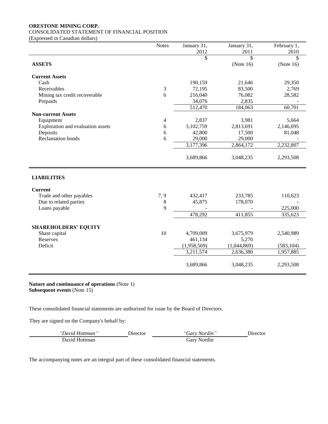#### CONSOLIDATED STATEMENT OF FINANCIAL POSITION

(Expressed in Canadian dollars)

|                                   | <b>Notes</b> | January 31,<br>2012 | January 31,<br>2011 | February 1,<br>2010    |
|-----------------------------------|--------------|---------------------|---------------------|------------------------|
|                                   |              | \$                  | \$                  | \$                     |
| <b>ASSETS</b>                     |              |                     | (Note $16$ )        | (Note 16)              |
| <b>Current Assets</b>             |              |                     |                     |                        |
| Cash                              |              | 190,159             | 21,646              | 29,350                 |
| Receivables                       | 3            | 72,195              | 83,500              | 2,769                  |
| Mining tax credit recoverable     | 6            | 216,040             | 76,082              | 28,582                 |
| Prepaids                          |              | 34,076              | 2,835               |                        |
|                                   |              | 512,470             | 184,063             | 60,701                 |
| <b>Non-current Assets</b>         |              |                     |                     |                        |
| Equipment                         | 4            | 2,837               | 3,981               | 5,664                  |
| Exploration and evaluation assets | 6            | 3,102,759           | 2,813,691           | 2,146,095              |
| Deposits                          | 6            | 42,800              | 17,500              | 81,048                 |
| <b>Reclamation</b> bonds          | 6            | 29,000              | 29,000              |                        |
|                                   |              | 3,177,396           | 2,864,172           | 2,232,807              |
|                                   |              | 3,689,866           | 3,048,235           | 2,293,508              |
| <b>LIABILITIES</b>                |              |                     |                     |                        |
| <b>Current</b>                    |              |                     |                     |                        |
| Trade and other payables          | 7,9          | 432,417             | 233,785             | 110,623                |
| Due to related parties            | $\,8$        | 45,875              | 178,070             |                        |
| Loans payable                     | 9            |                     |                     | 225,000                |
|                                   |              | 478,292             | 411,855             | 335,623                |
| <b>SHAREHOLDERS' EQUITY</b>       |              |                     |                     |                        |
| Share capital                     | 10           | 4,709,009           | 3,675,979           | 2,540,989              |
| Reserves                          |              | 461,134             | 5,270               |                        |
| Deficit                           |              | (1,958,569)         | (1,044,869)         | (583, 104)             |
|                                   |              | 3,211,574           | 2,636,380           | $\overline{1,}957,885$ |
|                                   |              |                     |                     |                        |
|                                   |              | 3,689,866           | 3,048,235           | 2,293,508              |

**Nature and continuance of operations** (Note 1) **Subsequent events** (Note 15)

These consolidated financial statements are authorized for issue by the Board of Directors.

They are signed on the Company's behalf by:

÷

| "David Hottman" | <b>Director</b> | "Garv Nordin" | Jirector |
|-----------------|-----------------|---------------|----------|
| David Hottman   |                 | Gary Nordin   |          |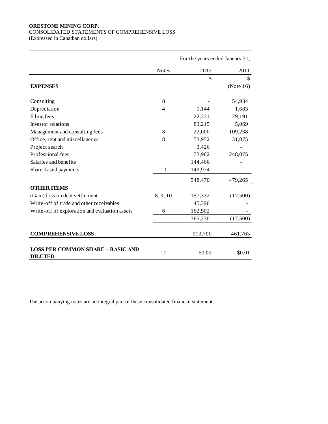# CONSOLIDATED STATEMENTS OF COMPREHENSIVE LOSS

(Expressed in Canadian dollars)

|                                                            |              | For the years ended January 31, |           |
|------------------------------------------------------------|--------------|---------------------------------|-----------|
|                                                            | <b>Notes</b> | 2012                            | 2011      |
|                                                            |              | \$                              | \$        |
| <b>EXPENSES</b>                                            |              |                                 | (Note 16) |
| Consulting                                                 | 8            |                                 | 54,934    |
| Depreciation                                               | 4            | 1,144                           | 1,683     |
| Filing fees                                                |              | 22,331                          | 29,191    |
| Investor relations                                         |              | 83,215                          | 5,069     |
| Management and consulting fees                             | 8            | 22,000                          | 109,238   |
| Office, rent and miscellaneous                             | 8            | 53,952                          | 31,075    |
| Project search                                             |              | 3,426                           |           |
| Professional fees                                          |              | 73,962                          | 248,075   |
| Salaries and benefits                                      |              | 144,466                         |           |
| Share-based payments                                       | 10           | 143,974                         |           |
|                                                            |              | 548,470                         | 479,265   |
| <b>OTHER ITEMS</b>                                         |              |                                 |           |
| (Gain) loss on debt settlement                             | 8, 9, 10     | 157,332                         | (17,500)  |
| Write-off of trade and other receivables                   |              | 45,396                          |           |
| Write-off of exploration and evaluation assets             | 6            | 162,502                         |           |
|                                                            |              | 365,230                         | (17,500)  |
| <b>COMPREHENSIVE LOSS</b>                                  |              | 913,700                         | 461,765   |
| <b>LOSS PER COMMON SHARE - BASIC AND</b><br><b>DILUTED</b> | 11           | \$0.02                          | \$0.01    |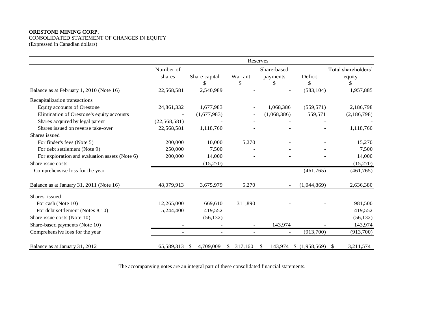CONSOLIDATED STATEMENT OF CHANGES IN EQUITY (Expressed in Canadian dollars)

|                                                |                          |                            | Reserves                 |                          |               |                            |
|------------------------------------------------|--------------------------|----------------------------|--------------------------|--------------------------|---------------|----------------------------|
|                                                | Number of                |                            |                          | Share-based              |               | Total shareholders'        |
|                                                | shares                   | Share capital              | Warrant                  | payments                 | Deficit       | equity                     |
|                                                |                          | \$.                        | \$                       | \$                       | \$            | \$                         |
| Balance as at February 1, 2010 (Note 16)       | 22,568,581               | 2,540,989                  |                          |                          | (583, 104)    | 1,957,885                  |
| Recapitalization transactions                  |                          |                            |                          |                          |               |                            |
| Equity accounts of Orestone                    | 24,861,332               | 1,677,983                  |                          | 1,068,386                | (559, 571)    | 2,186,798                  |
| Elimination of Orestone's equity accounts      |                          | (1,677,983)                |                          | (1,068,386)              | 559,571       | (2,186,798)                |
| Shares acquired by legal parent                | (22, 568, 581)           |                            |                          |                          |               |                            |
| Shares issued on reverse take-over             | 22,568,581               | 1,118,760                  |                          |                          |               | 1,118,760                  |
| Shares issued                                  |                          |                            |                          |                          |               |                            |
| For finder's fees (Note 5)                     | 200,000                  | 10,000                     | 5,270                    |                          |               | 15,270                     |
| For debt settlement (Note 9)                   | 250,000                  | 7,500                      |                          |                          |               | 7,500                      |
| For exploration and evaluation assets (Note 6) | 200,000                  | 14,000                     |                          |                          |               | 14,000                     |
| Share issue costs                              |                          | (15,270)                   |                          |                          |               | (15,270)                   |
| Comprehensive loss for the year                |                          |                            |                          |                          | (461,765)     | (461,765)                  |
| Balance as at January 31, 2011 (Note 16)       | 48,079,913               | 3,675,979                  | 5,270                    | $\overline{\phantom{a}}$ | (1,044,869)   | 2,636,380                  |
| Shares issued                                  |                          |                            |                          |                          |               |                            |
| For cash (Note 10)                             | 12,265,000               | 669,610                    | 311,890                  |                          |               | 981,500                    |
| For debt settlement (Notes 8,10)               | 5,244,400                | 419,552                    |                          |                          |               | 419,552                    |
| Share issue costs (Note 10)                    |                          | (56, 132)                  |                          |                          |               | (56, 132)                  |
| Share-based payments (Note 10)                 | $\blacksquare$           |                            | $\sim$                   | 143,974                  |               | 143,974                    |
| Comprehensive loss for the year                | $\overline{\phantom{a}}$ | $\blacksquare$             | $\overline{\phantom{a}}$ | $\blacksquare$           | (913,700)     | (913,700)                  |
| Balance as at January 31, 2012                 | 65,589,313               | 4,709,009<br><sup>\$</sup> | 317,160<br>$\mathbb{S}$  | 143,974<br>$\mathbb{S}$  | \$(1,958,569) | 3,211,574<br><sup>\$</sup> |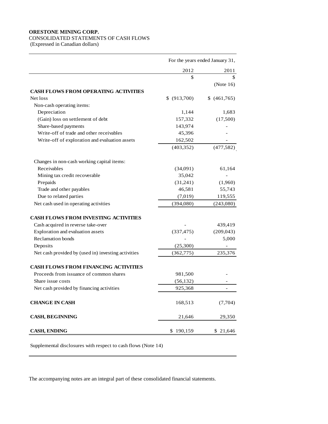# CONSOLIDATED STATEMENTS OF CASH FLOWS

(Expressed in Canadian dollars)

|                                                     | For the years ended January 31, |                          |
|-----------------------------------------------------|---------------------------------|--------------------------|
|                                                     | 2012                            | 2011                     |
|                                                     | \$                              | \$                       |
|                                                     |                                 | (Note 16)                |
| <b>CASH FLOWS FROM OPERATING ACTIVITIES</b>         |                                 |                          |
| Net loss                                            | \$ (913,700)                    | (461,765)<br>\$          |
| Non-cash operating items:                           |                                 |                          |
| Depreciation                                        | 1,144                           | 1,683                    |
| (Gain) loss on settlement of debt                   | 157,332                         | (17,500)                 |
| Share-based payments                                | 143,974                         |                          |
| Write-off of trade and other receivables            | 45,396                          |                          |
| Write-off of exploration and evaluation assets      | 162,502                         |                          |
|                                                     | (403, 352)                      | (477, 582)               |
| Changes in non-cash working capital items:          |                                 |                          |
| Receivables                                         | (34,091)                        | 61,164                   |
| Mining tax credit recoverable                       | 35,042                          |                          |
| Prepaids                                            | (31,241)                        | (1,960)                  |
| Trade and other payables                            | 46,581                          | 55,743                   |
| Due to related parties                              | (7,019)                         | 119,555                  |
| Net cash used in operating activities               | (394,080)                       | (243,080)                |
| <b>CASH FLOWS FROM INVESTING ACTIVITIES</b>         |                                 |                          |
| Cash acquired in reverse take-over                  |                                 | 439,419                  |
| Exploration and evaluation assets                   | (337, 475)                      | (209, 043)               |
| <b>Reclamation</b> bonds                            |                                 | 5,000                    |
| Deposits                                            | (25,300)                        |                          |
| Net cash provided by (used in) investing activities | (362, 775)                      | 235,376                  |
| <b>CASH FLOWS FROM FINANCING ACTIVITIES</b>         |                                 |                          |
| Proceeds from issuance of common shares             | 981,500                         |                          |
| Share issue costs                                   | (56, 132)                       | $\overline{\phantom{a}}$ |
| Net cash provided by financing activities           | 925,368                         | $\overline{\phantom{a}}$ |
| <b>CHANGE IN CASH</b>                               | 168,513                         | (7,704)                  |
| <b>CASH, BEGINNING</b>                              | 21,646                          | 29,350                   |
| <b>CASH, ENDING</b>                                 | \$190,159                       | \$21,646                 |

Supplemental disclosures with respect to cash flows (Note 14)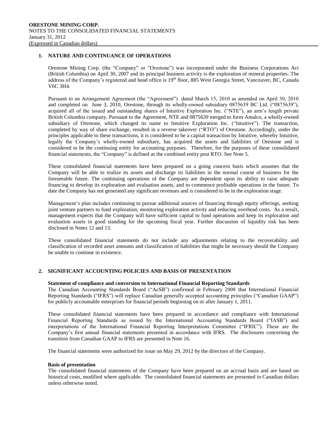## **1. NATURE AND CONTINUANCE OF OPERATIONS**

Orestone Mining Corp. (the "Company" or "Orestone") was incorporated under the Business Corporations Act (British Columbia) on April 30, 2007 and its principal business activity is the exploration of mineral properties. The address of the Company's registered and head office is 19<sup>th</sup> floor, 885 West Georgia Street, Vancouver, BC, Canada V6C 3H4.

Pursuant to an Arrangement Agreement (the "Agreement") dated March 15, 2010 as amended on April 30, 2010 and completed on June 3, 2010, Orestone, through its wholly-owned subsidiary 0875639 BC Ltd. ("0875639"), acquired all of the issued and outstanding shares of Intuitive Exploration Inc. ("NTE"), an arm's length private British Columbia company. Pursuant to the Agreement, NTE and 0875639 merged to form Amalco, a wholly-owned subsidiary of Orestone, which changed its name to Intuitive Exploration Inc. ("Intuitive"). The transaction, completed by way of share exchange, resulted in a reverse takeover ("RTO") of Orestone. Accordingly, under the principles applicable to these transactions, it is considered to be a capital transaction by Intuitive, whereby Intuitive, legally the Company's wholly-owned subsidiary, has acquired the assets and liabilities of Orestone and is considered to be the continuing entity for accounting purposes. Therefore, for the purposes of these consolidated financial statements, the "Company" is defined as the combined entity post RTO. See Note 5.

These consolidated financial statements have been prepared on a going concern basis which assumes that the Company will be able to realize its assets and discharge its liabilities in the normal course of business for the foreseeable future. The continuing operations of the Company are dependent upon its ability to raise adequate financing to develop its exploration and evaluation assets, and to commence profitable operations in the future. To date the Company has not generated any significant revenues and is considered to be in the exploration stage.

Management's plan includes continuing to pursue additional sources of financing through equity offerings, seeking joint venture partners to fund exploration, monitoring exploration activity and reducing overhead costs. As a result, management expects that the Company will have sufficient capital to fund operations and keep its exploration and evaluation assets in good standing for the upcoming fiscal year. Further discussion of liquidity risk has been disclosed in Notes 12 and 13.

These consolidated financial statements do not include any adjustments relating to the recoverability and classification of recorded asset amounts and classification of liabilities that might be necessary should the Company be unable to continue in existence.

## **2. SIGNIFICANT ACCOUNTING POLICIES AND BASIS OF PRESENTATION**

#### **Statement of compliance and conversion to International Financial Reporting Standards**

The Canadian Accounting Standards Board ("AcSB") confirmed in February 2008 that International Financial Reporting Standards ("IFRS") will replace Canadian generally accepted accounting principles ("Canadian GAAP") for publicly accountable enterprises for financial periods beginning on or after January 1, 2011.

These consolidated financial statements have been prepared in accordance and compliance with International Financial Reporting Standards as issued by the International Accounting Standards Board ("IASB") and interpretations of the International Financial Reporting Interpretations Committee ("IFRIC"). These are the Company's first annual financial statements presented in accordance with IFRS. The disclosures concerning the transition from Canadian GAAP to IFRS are presented in Note 16.

The financial statements were authorized for issue on May 29, 2012 by the directors of the Company.

#### **Basis of presentation**

The consolidated financial statements of the Company have been prepared on an accrual basis and are based on historical costs, modified where applicable. The consolidated financial statements are presented in Canadian dollars unless otherwise noted.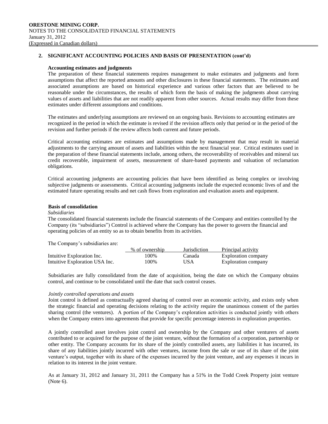#### **Accounting estimates and judgments**

The preparation of these financial statements requires management to make estimates and judgments and form assumptions that affect the reported amounts and other disclosures in these financial statements. The estimates and associated assumptions are based on historical experience and various other factors that are believed to be reasonable under the circumstances, the results of which form the basis of making the judgments about carrying values of assets and liabilities that are not readily apparent from other sources. Actual results may differ from these estimates under different assumptions and conditions.

The estimates and underlying assumptions are reviewed on an ongoing basis. Revisions to accounting estimates are recognized in the period in which the estimate is revised if the revision affects only that period or in the period of the revision and further periods if the review affects both current and future periods.

Critical accounting estimates are estimates and assumptions made by management that may result in material adjustments to the carrying amount of assets and liabilities within the next financial year. Critical estimates used in the preparation of these financial statements include, among others, the recoverability of receivables and mineral tax credit recoverable, impairment of assets, measurement of share-based payments and valuation of reclamation obligations.

Critical accounting judgments are accounting policies that have been identified as being complex or involving subjective judgments or assessments. Critical accounting judgments include the expected economic lives of and the estimated future operating results and net cash flows from exploration and evaluation assets and equipment.

#### **Basis of consolidation**

#### *Subsidiaries*

The consolidated financial statements include the financial statements of the Company and entities controlled by the Company (its "subsidiaries") Control is achieved where the Company has the power to govern the financial and operating policies of an entity so as to obtain benefits from its activities.

The Company's subsidiaries are:

|                                | % of ownership | Jurisdiction | Principal activity         |
|--------------------------------|----------------|--------------|----------------------------|
| Intuitive Exploration Inc.     | 100%           | Canada       | Exploration company        |
| Intuitive Exploration USA Inc. | 100%           | USA          | <b>Exploration</b> company |

Subsidiaries are fully consolidated from the date of acquisition, being the date on which the Company obtains control, and continue to be consolidated until the date that such control ceases.

#### *Jointly controlled operations and assets*

Joint control is defined as contractually agreed sharing of control over an economic activity, and exists only when the strategic financial and operating decisions relating to the activity require the unanimous consent of the parties sharing control (the ventures). A portion of the Company's exploration activities is conducted jointly with others when the Company enters into agreements that provide for specific percentage interests in exploration properties.

A jointly controlled asset involves joint control and ownership by the Company and other venturers of assets contributed to or acquired for the purpose of the joint venture, without the formation of a corporation, partnership or other entity. The Company accounts for its share of the jointly controlled assets, any liabilities it has incurred, its share of any liabilities jointly incurred with other ventures, income from the sale or use of its share of the joint venture's output, together with its share of the expenses incurred by the joint venture, and any expenses it incurs in relation to its interest in the joint venture.

As at January 31, 2012 and January 31, 2011 the Company has a 51% in the Todd Creek Property joint venture (Note 6).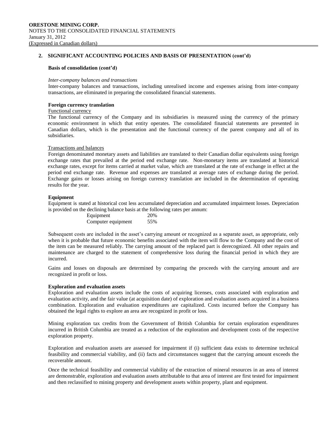## **Basis of consolidation (cont'd)**

#### *Inter-company balances and transactions*

Inter-company balances and transactions, including unrealised income and expenses arising from inter-company transactions, are eliminated in preparing the consolidated financial statements.

#### **Foreign currency translation**

#### Functional currency

The functional currency of the Company and its subsidiaries is measured using the currency of the primary economic environment in which that entity operates. The consolidated financial statements are presented in Canadian dollars, which is the presentation and the functional currency of the parent company and all of its subsidiaries.

#### Transactions and balances

Foreign denominated monetary assets and liabilities are translated to their Canadian dollar equivalents using foreign exchange rates that prevailed at the period end exchange rate. Non-monetary items are translated at historical exchange rates, except for items carried at market value, which are translated at the rate of exchange in effect at the period end exchange rate. Revenue and expenses are translated at average rates of exchange during the period. Exchange gains or losses arising on foreign currency translation are included in the determination of operating results for the year.

#### **Equipment**

Equipment is stated at historical cost less accumulated depreciation and accumulated impairment losses. Depreciation is provided on the declining balance basis at the following rates per annum:

| Equipment          | 20% |
|--------------------|-----|
| Computer equipment | 55% |

Subsequent costs are included in the asset's carrying amount or recognized as a separate asset, as appropriate, only when it is probable that future economic benefits associated with the item will flow to the Company and the cost of the item can be measured reliably. The carrying amount of the replaced part is derecognized. All other repairs and maintenance are charged to the statement of comprehensive loss during the financial period in which they are incurred.

Gains and losses on disposals are determined by comparing the proceeds with the carrying amount and are recognized in profit or loss.

#### **Exploration and evaluation assets**

Exploration and evaluation assets include the costs of acquiring licenses, costs associated with exploration and evaluation activity, and the fair value (at acquisition date) of exploration and evaluation assets acquired in a business combination. Exploration and evaluation expenditures are capitalized. Costs incurred before the Company has obtained the legal rights to explore an area are recognized in profit or loss.

Mining exploration tax credits from the Government of British Columbia for certain exploration expenditures incurred in British Columbia are treated as a reduction of the exploration and development costs of the respective exploration property.

Exploration and evaluation assets are assessed for impairment if (i) sufficient data exists to determine technical feasibility and commercial viability, and (ii) facts and circumstances suggest that the carrying amount exceeds the recoverable amount.

Once the technical feasibility and commercial viability of the extraction of mineral resources in an area of interest are demonstrable, exploration and evaluation assets attributable to that area of interest are first tested for impairment and then reclassified to mining property and development assets within property, plant and equipment.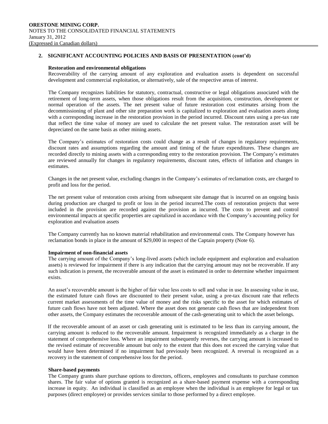#### **Restoration and environmental obligations**

Recoverability of the carrying amount of any exploration and evaluation assets is dependent on successful development and commercial exploitation, or alternatively, sale of the respective areas of interest.

The Company recognizes liabilities for statutory, contractual, constructive or legal obligations associated with the retirement of long-term assets, when those obligations result from the acquisition, construction, development or normal operation of the assets. The net present value of future restoration cost estimates arising from the decommissioning of plant and other site preparation work is capitalized to exploration and evaluation assets along with a corresponding increase in the restoration provision in the period incurred. Discount rates using a pre-tax rate that reflect the time value of money are used to calculate the net present value. The restoration asset will be depreciated on the same basis as other mining assets.

The Company's estimates of restoration costs could change as a result of changes in regulatory requirements, discount rates and assumptions regarding the amount and timing of the future expenditures. These changes are recorded directly to mining assets with a corresponding entry to the restoration provision. The Company's estimates are reviewed annually for changes in regulatory requirements, discount rates, effects of inflation and changes in estimates.

Changes in the net present value, excluding changes in the Company's estimates of reclamation costs, are charged to profit and loss for the period.

The net present value of restoration costs arising from subsequent site damage that is incurred on an ongoing basis during production are charged to profit or loss in the period incurred.The costs of restoration projects that were included in the provision are recorded against the provision as incurred. The costs to prevent and control environmental impacts at specific properties are capitalized in accordance with the Company's accounting policy for exploration and evaluation assets

The Company currently has no known material rehabilitation and environmental costs. The Company however has reclamation bonds in place in the amount of \$29,000 in respect of the Captain property (Note 6).

#### **Impairment of non-financial assets**

The carrying amount of the Company's long-lived assets (which include equipment and exploration and evaluation assets) is reviewed for impairment if there is any indication that the carrying amount may not be recoverable. If any such indication is present, the recoverable amount of the asset is estimated in order to determine whether impairment exists.

An asset's recoverable amount is the higher of fair value less costs to sell and value in use. In assessing value in use, the estimated future cash flows are discounted to their present value, using a pre-tax discount rate that reflects current market assessments of the time value of money and the risks specific to the asset for which estimates of future cash flows have not been adjusted. Where the asset does not generate cash flows that are independent from other assets, the Company estimates the recoverable amount of the cash-generating unit to which the asset belongs.

If the recoverable amount of an asset or cash generating unit is estimated to be less than its carrying amount, the carrying amount is reduced to the recoverable amount. Impairment is recognized immediately as a charge in the statement of comprehensive loss. Where an impairment subsequently reverses, the carrying amount is increased to the revised estimate of recoverable amount but only to the extent that this does not exceed the carrying value that would have been determined if no impairment had previously been recognized. A reversal is recognized as a recovery in the statement of comprehensive loss for the period.

#### **Share-based payments**

The Company grants share purchase options to directors, officers, employees and consultants to purchase common shares. The fair value of options granted is recognized as a share-based payment expense with a corresponding increase in equity. An individual is classified as an employee when the individual is an employee for legal or tax purposes (direct employee) or provides services similar to those performed by a direct employee.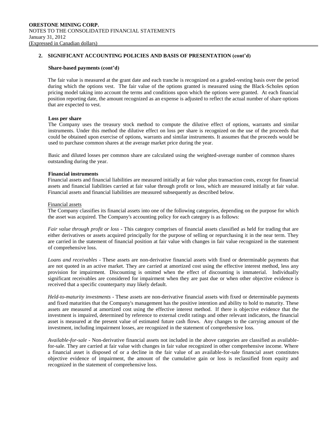#### **Share-based payments (cont'd)**

The fair value is measured at the grant date and each tranche is recognized on a graded-vesting basis over the period during which the options vest. The fair value of the options granted is measured using the Black-Scholes option pricing model taking into account the terms and conditions upon which the options were granted. At each financial position reporting date, the amount recognized as an expense is adjusted to reflect the actual number of share options that are expected to vest.

#### **Loss per share**

The Company uses the treasury stock method to compute the dilutive effect of options, warrants and similar instruments. Under this method the dilutive effect on loss per share is recognized on the use of the proceeds that could be obtained upon exercise of options, warrants and similar instruments. It assumes that the proceeds would be used to purchase common shares at the average market price during the year.

Basic and diluted losses per common share are calculated using the weighted-average number of common shares outstanding during the year.

#### **Financial instruments**

Financial assets and financial liabilities are measured initially at fair value plus transaction costs, except for financial assets and financial liabilities carried at fair value through profit or loss, which are measured initially at fair value. Financial assets and financial liabilities are measured subsequently as described below.

#### Financial assets

The Company classifies its financial assets into one of the following categories, depending on the purpose for which the asset was acquired. The Company's accounting policy for each category is as follows:

*Fair value through profit or loss* - This category comprises of financial assets classified as held for trading that are either derivatives or assets acquired principally for the purpose of selling or repurchasing it in the near term. They are carried in the statement of financial position at fair value with changes in fair value recognized in the statement of comprehensive loss.

*Loans and receivables* - These assets are non-derivative financial assets with fixed or determinable payments that are not quoted in an active market. They are carried at amortized cost using the effective interest method, less any provision for impairment. Discounting is omitted when the effect of discounting is immaterial. Individually significant receivables are considered for impairment when they are past due or when other objective evidence is received that a specific counterparty may likely default.

*Held-to-maturity investments* - These assets are non-derivative financial assets with fixed or determinable payments and fixed maturities that the Company's management has the positive intention and ability to hold to maturity. These assets are measured at amortized cost using the effective interest method. If there is objective evidence that the investment is impaired, determined by reference to external credit ratings and other relevant indicators, the financial asset is measured at the present value of estimated future cash flows. Any changes to the carrying amount of the investment, including impairment losses, are recognized in the statement of comprehensive loss.

*Available-for-sale* - Non-derivative financial assets not included in the above categories are classified as availablefor-sale. They are carried at fair value with changes in fair value recognized in other comprehensive income. Where a financial asset is disposed of or a decline in the fair value of an available-for-sale financial asset constitutes objective evidence of impairment, the amount of the cumulative gain or loss is reclassified from equity and recognized in the statement of comprehensive loss.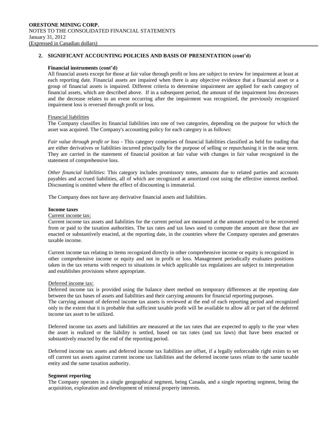#### **Financial instruments (cont'd)**

All financial assets except for those at fair value through profit or loss are subject to review for impairment at least at each reporting date. Financial assets are impaired when there is any objective evidence that a financial asset or a group of financial assets is impaired. Different criteria to determine impairment are applied for each category of financial assets, which are described above. If in a subsequent period, the amount of the impairment loss decreases and the decrease relates to an event occurring after the impairment was recognized, the previously recognized impairment loss is reversed through profit or loss.

#### Financial liabilities

The Company classifies its financial liabilities into one of two categories, depending on the purpose for which the asset was acquired. The Company's accounting policy for each category is as follows:

*Fair value through profit or loss* - This category comprises of financial liabilities classified as held for trading that are either derivatives or liabilities incurred principally for the purpose of selling or repurchasing it in the near term. They are carried in the statement of financial position at fair value with changes in fair value recognized in the statement of comprehensive loss.

*Other financial liabilities*: This category includes promissory notes, amounts due to related parties and accounts payables and accrued liabilities, all of which are recognized at amortized cost using the effective interest method. Discounting is omitted where the effect of discounting is immaterial.

The Company does not have any derivative financial assets and liabilities.

#### **Income taxes**

#### Current income tax:

Current income tax assets and liabilities for the current period are measured at the amount expected to be recovered from or paid to the taxation authorities. The tax rates and tax laws used to compute the amount are those that are enacted or substantively enacted, at the reporting date, in the countries where the Company operates and generates taxable income.

Current income tax relating to items recognized directly in other comprehensive income or equity is recognized in other comprehensive income or equity and not in profit or loss. Management periodically evaluates positions taken in the tax returns with respect to situations in which applicable tax regulations are subject to interpretation and establishes provisions where appropriate.

#### Deferred income tax:

Deferred income tax is provided using the balance sheet method on temporary differences at the reporting date between the tax bases of assets and liabilities and their carrying amounts for financial reporting purposes. The carrying amount of deferred income tax assets is reviewed at the end of each reporting period and recognized only to the extent that it is probable that sufficient taxable profit will be available to allow all or part of the deferred income tax asset to be utilized.

Deferred income tax assets and liabilities are measured at the tax rates that are expected to apply to the year when the asset is realized or the liability is settled, based on tax rates (and tax laws) that have been enacted or substantively enacted by the end of the reporting period.

Deferred income tax assets and deferred income tax liabilities are offset, if a legally enforceable right exists to set off current tax assets against current income tax liabilities and the deferred income taxes relate to the same taxable entity and the same taxation authority.

#### **Segment reporting**

The Company operates in a single geographical segment, being Canada, and a single reporting segment, being the acquisition, exploration and development of mineral property interests.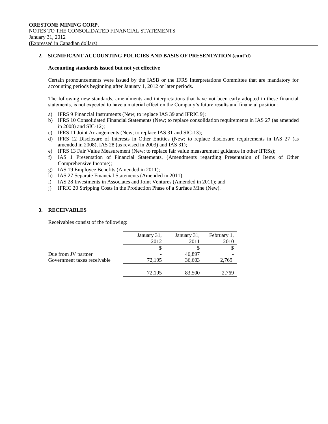### **Accounting standards issued but not yet effective**

Certain pronouncements were issued by the IASB or the IFRS Interpretations Committee that are mandatory for accounting periods beginning after January 1, 2012 or later periods.

The following new standards, amendments and interpretations that have not been early adopted in these financial statements, is not expected to have a material effect on the Company's future results and financial position:

- a) IFRS 9 Financial Instruments (New; to replace IAS 39 and IFRIC 9);
- b) IFRS 10 Consolidated Financial Statements (New; to replace consolidation requirements in IAS 27 (as amended in 2008) and SIC-12);
- c) IFRS 11 Joint Arrangements (New; to replace IAS 31 and SIC-13);
- d) IFRS 12 Disclosure of Interests in Other Entities (New; to replace disclosure requirements in IAS 27 (as amended in 2008), IAS 28 (as revised in 2003) and IAS 31);
- e) IFRS 13 Fair Value Measurement (New; to replace fair value measurement guidance in other IFRSs);
- f) IAS 1 Presentation of Financial Statements, (Amendments regarding Presentation of Items of Other Comprehensive Income);
- g) IAS 19 Employee Benefits (Amended in 2011);
- h) IAS 27 Separate Financial Statements (Amended in 2011);
- i) IAS 28 Investments in Associates and Joint Ventures (Amended in 2011); and
- j) IFRIC 20 Stripping Costs in the Production Phase of a Surface Mine (New).

#### **3. RECEIVABLES**

Receivables consist of the following:

|                             | January 31, | January 31, | February 1, |
|-----------------------------|-------------|-------------|-------------|
|                             | 2012        | 2011        | 2010        |
|                             |             |             |             |
| Due from JV partner         |             | 46,897      |             |
| Government taxes receivable | 72,195      | 36,603      | 2,769       |
|                             |             |             |             |
|                             | 72,195      | 83,500      | 2,769       |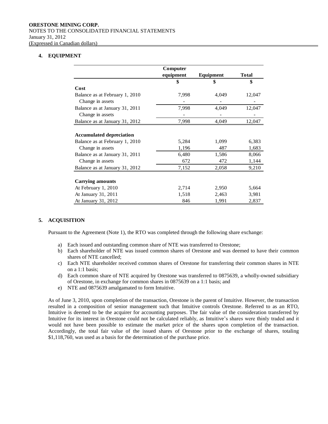## **4. EQUIPMENT**

|                                 | Computer  |           |        |
|---------------------------------|-----------|-----------|--------|
|                                 | equipment | Equipment | Total  |
|                                 | \$        | \$        | \$     |
| Cost                            |           |           |        |
| Balance as at February 1, 2010  | 7,998     | 4,049     | 12,047 |
| Change in assets                |           |           |        |
| Balance as at January 31, 2011  | 7,998     | 4,049     | 12,047 |
| Change in assets                |           |           |        |
| Balance as at January 31, 2012  | 7,998     | 4,049     | 12,047 |
|                                 |           |           |        |
| <b>Accumulated depreciation</b> |           |           |        |
| Balance as at February 1, 2010  | 5,284     | 1,099     | 6,383  |
| Change in assets                | 1,196     | 487       | 1,683  |
| Balance as at January 31, 2011  | 6,480     | 1,586     | 8,066  |
| Change in assets                | 672       | 472       | 1,144  |
| Balance as at January 31, 2012  | 7,152     | 2,058     | 9,210  |
|                                 |           |           |        |
| <b>Carrying amounts</b>         |           |           |        |
| At February 1, 2010             | 2,714     | 2,950     | 5,664  |
| At January 31, 2011             | 1,518     | 2,463     | 3,981  |
| At January 31, 2012             | 846       | 1,991     | 2,837  |

## **5. ACQUISITION**

Pursuant to the Agreement (Note 1), the RTO was completed through the following share exchange:

- a) Each issued and outstanding common share of NTE was transferred to Orestone;
- b) Each shareholder of NTE was issued common shares of Orestone and was deemed to have their common shares of NTE cancelled;
- c) Each NTE shareholder received common shares of Orestone for transferring their common shares in NTE on a 1:1 basis;
- d) Each common share of NTE acquired by Orestone was transferred to 0875639, a wholly-owned subsidiary of Orestone, in exchange for common shares in 0875639 on a 1:1 basis; and
- e) NTE and 0875639 amalgamated to form Intuitive.

As of June 3, 2010, upon completion of the transaction, Orestone is the parent of Intuitive. However, the transaction resulted in a composition of senior management such that Intuitive controls Orestone. Referred to as an RTO, Intuitive is deemed to be the acquirer for accounting purposes. The fair value of the consideration transferred by Intuitive for its interest in Orestone could not be calculated reliably, as Intuitive's shares were thinly traded and it would not have been possible to estimate the market price of the shares upon completion of the transaction. Accordingly, the total fair value of the issued shares of Orestone prior to the exchange of shares, totaling \$1,118,760, was used as a basis for the determination of the purchase price.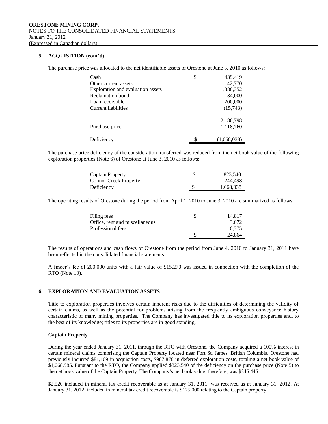## **5. ACQUISITION (cont'd)**

The purchase price was allocated to the net identifiable assets of Orestone at June 3, 2010 as follows:

| Cash                              | \$<br>439,419     |
|-----------------------------------|-------------------|
| Other current assets              | 142,770           |
| Exploration and evaluation assets | 1,386,352         |
| Reclamation bond                  | 34,000            |
| Loan receivable                   | 200,000           |
| Current liabilities               | (15,743)          |
|                                   | 2,186,798         |
| Purchase price                    | 1,118,760         |
| Deficiency                        | \$<br>(1,068,038) |

The purchase price deficiency of the consideration transferred was reduced from the net book value of the following exploration properties (Note 6) of Orestone at June 3, 2010 as follows:

| 823,540   |
|-----------|
| 244.498   |
| 1,068,038 |
|           |

The operating results of Orestone during the period from April 1, 2010 to June 3, 2010 are summarized as follows:

| Filing fees                    | 14.817 |
|--------------------------------|--------|
| Office, rent and miscellaneous | 3.672  |
| Professional fees              | 6.375  |
|                                | 24.864 |

The results of operations and cash flows of Orestone from the period from June 4, 2010 to January 31, 2011 have been reflected in the consolidated financial statements.

A finder's fee of 200,000 units with a fair value of \$15,270 was issued in connection with the completion of the RTO (Note 10).

## **6. EXPLORATION AND EVALUATION ASSETS**

Title to exploration properties involves certain inherent risks due to the difficulties of determining the validity of certain claims, as well as the potential for problems arising from the frequently ambiguous conveyance history characteristic of many mining properties. The Company has investigated title to its exploration properties and, to the best of its knowledge; titles to its properties are in good standing.

#### **Captain Property**

During the year ended January 31, 2011, through the RTO with Orestone, the Company acquired a 100% interest in certain mineral claims comprising the Captain Property located near Fort St. James, British Columbia. Orestone had previously incurred \$81,109 in acquisition costs, \$987,876 in deferred exploration costs, totaling a net book value of \$1,068,985. Pursuant to the RTO, the Company applied \$823,540 of the deficiency on the purchase price (Note 5) to the net book value of the Captain Property. The Company's net book value, therefore, was \$245,445.

\$2,520 included in mineral tax credit recoverable as at January 31, 2011, was received as at January 31, 2012. At January 31, 2012, included in mineral tax credit recoverable is \$175,000 relating to the Captain property.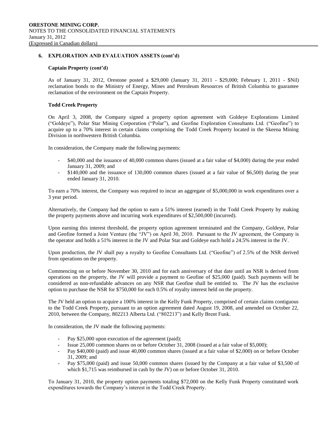## **6. EXPLORATION AND EVALUATION ASSETS (cont'd)**

### **Captain Property (cont'd)**

As of January 31, 2012, Orestone posted a \$29,000 (January 31, 2011 - \$29,000; February 1, 2011 - \$Nil) reclamation bonds to the Ministry of Energy, Mines and Petroleum Resources of British Columbia to guarantee reclamation of the environment on the Captain Property.

## **Todd Creek Property**

On April 3, 2008, the Company signed a property option agreement with Goldeye Explorations Limited ("Goldeye"), Polar Star Mining Corporation ("Polar"), and Geofine Exploration Consultants Ltd. ("Geofine") to acquire up to a 70% interest in certain claims comprising the Todd Creek Property located in the Skeena Mining Division in northwestern British Columbia.

In consideration, the Company made the following payments:

- \$40,000 and the issuance of 40,000 common shares (issued at a fair value of \$4,000) during the year ended January 31, 2009; and
- \$140,000 and the issuance of 130,000 common shares (issued at a fair value of \$6,500) during the year ended January 31, 2010.

To earn a 70% interest, the Company was required to incur an aggregate of \$5,000,000 in work expenditures over a 3 year period.

Alternatively, the Company had the option to earn a 51% interest (earned) in the Todd Creek Property by making the property payments above and incurring work expenditures of \$2,500,000 (incurred).

Upon earning this interest threshold, the property option agreement terminated and the Company, Goldeye, Polar and Geofine formed a Joint Venture (the "JV") on April 30, 2010. Pursuant to the JV agreement, the Company is the operator and holds a 51% interest in the JV and Polar Star and Goldeye each hold a 24.5% interest in the JV.

Upon production, the JV shall pay a royalty to Geofine Consultants Ltd. ("Geofine") of 2.5% of the NSR derived from operations on the property.

Commencing on or before November 30, 2010 and for each anniversary of that date until an NSR is derived from operations on the property, the JV will provide a payment to Geofine of \$25,000 (paid). Such payments will be considered as non-refundable advances on any NSR that Geofine shall be entitled to. The JV has the exclusive option to purchase the NSR for \$750,000 for each 0.5% of royalty interest held on the property.

The JV held an option to acquire a 100% interest in the Kelly Funk Property, comprised of certain claims contiguous to the Todd Creek Property, pursuant to an option agreement dated August 19, 2008, and amended on October 22, 2010, between the Company, 802213 Alberta Ltd. ("802213") and Kelly Brent Funk.

In consideration, the JV made the following payments:

- Pay \$25,000 upon execution of the agreement (paid);
- Issue 25,000 common shares on or before October 31, 2008 (issued at a fair value of \$5,000);
- Pay \$40,000 (paid) and issue 40,000 common shares (issued at a fair value of \$2,000) on or before October 31, 2009; and
- Pay \$75,000 (paid) and issue 50,000 common shares (issued by the Company at a fair value of \$3,500 of which \$1,715 was reimbursed in cash by the JV) on or before October 31, 2010.

To January 31, 2010, the property option payments totaling \$72,000 on the Kelly Funk Property constituted work expenditures towards the Company's interest in the Todd Creek Property.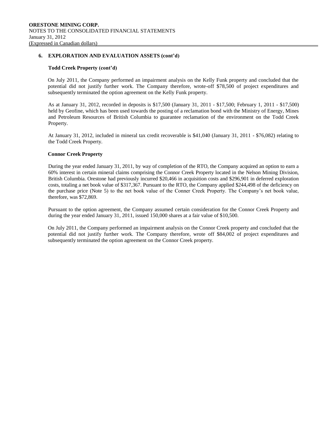## **6. EXPLORATION AND EVALUATION ASSETS (cont'd)**

### **Todd Creek Property (cont'd)**

On July 2011, the Company performed an impairment analysis on the Kelly Funk property and concluded that the potential did not justify further work. The Company therefore, wrote-off \$78,500 of project expenditures and subsequently terminated the option agreement on the Kelly Funk property.

As at January 31, 2012, recorded in deposits is \$17,500 (January 31, 2011 - \$17,500; February 1, 2011 - \$17,500) held by Geofine, which has been used towards the posting of a reclamation bond with the Ministry of Energy, Mines and Petroleum Resources of British Columbia to guarantee reclamation of the environment on the Todd Creek Property.

At January 31, 2012, included in mineral tax credit recoverable is \$41,040 (January 31, 2011 - \$76,082) relating to the Todd Creek Property.

## **Connor Creek Property**

During the year ended January 31, 2011, by way of completion of the RTO, the Company acquired an option to earn a 60% interest in certain mineral claims comprising the Connor Creek Property located in the Nelson Mining Division, British Columbia. Orestone had previously incurred \$20,466 in acquisition costs and \$296,901 in deferred exploration costs, totaling a net book value of \$317,367. Pursuant to the RTO, the Company applied \$244,498 of the deficiency on the purchase price (Note 5) to the net book value of the Conner Creek Property. The Company's net book value, therefore, was \$72,869.

Pursuant to the option agreement, the Company assumed certain consideration for the Connor Creek Property and during the year ended January 31, 2011, issued 150,000 shares at a fair value of \$10,500.

On July 2011, the Company performed an impairment analysis on the Connor Creek property and concluded that the potential did not justify further work. The Company therefore, wrote off \$84,002 of project expenditures and subsequently terminated the option agreement on the Connor Creek property.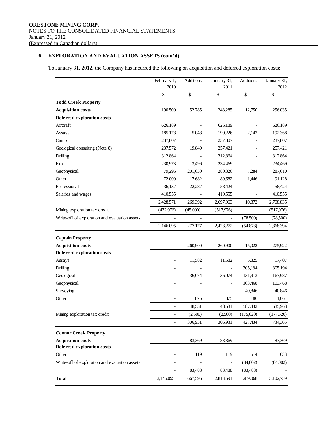# **6. EXPLORATION AND EVALUATION ASSETS (cont'd)**

To January 31, 2012, the Company has incurred the following on acquisition and deferred exploration costs:

|                                                | February 1,                  | Additions | January 31, | Additions | January 31, |
|------------------------------------------------|------------------------------|-----------|-------------|-----------|-------------|
|                                                | 2010                         |           | 2011        |           | 2012        |
|                                                | \$                           | \$        | \$          | \$        | \$          |
| <b>Todd Creek Property</b>                     |                              |           |             |           |             |
| <b>Acquisition costs</b>                       | 190,500                      | 52,785    | 243,285     | 12,750    | 256,035     |
| Deferred exploration costs                     |                              |           |             |           |             |
| Aircraft                                       | 626,189                      |           | 626,189     |           | 626,189     |
| Assays                                         | 185,178                      | 5,048     | 190,226     | 2,142     | 192,368     |
| Camp                                           | 237,807                      |           | 237,807     |           | 237,807     |
| Geological consulting (Note 8)                 | 237,572                      | 19,849    | 257,421     |           | 257,421     |
| <b>Drilling</b>                                | 312,864                      |           | 312,864     |           | 312,864     |
| Field                                          | 230,973                      | 3,496     | 234,469     |           | 234,469     |
| Geophysical                                    | 79,296                       | 201,030   | 280,326     | 7,284     | 287,610     |
| Other                                          | 72,000                       | 17,682    | 89,682      | 1,446     | 91,128      |
| Professional                                   | 36,137                       | 22,287    | 58,424      |           | 58,424      |
| Salaries and wages                             | 410,555                      |           | 410,555     |           | 410,555     |
|                                                | 2,428,571                    | 269,392   | 2,697,963   | 10,872    | 2,708,835   |
| Mining exploration tax credit                  | (472, 976)                   | (45,000)  | (517,976)   |           | (517, 976)  |
| Write-off of exploration and evaluation assets |                              |           |             | (78,500)  | (78,500)    |
|                                                | 2,146,095                    | 277,177   | 2,423,272   | (54, 878) | 2,368,394   |
| <b>Captain Property</b>                        |                              |           |             |           |             |
| <b>Acquisition costs</b>                       |                              | 260,900   | 260,900     | 15,022    | 275,922     |
| Deferred exploration costs                     |                              |           |             |           |             |
| Assays                                         |                              | 11,582    | 11,582      | 5,825     | 17,407      |
| Drilling                                       |                              |           |             | 305,194   | 305,194     |
| Geological                                     |                              | 36,074    | 36,074      | 131,913   | 167,987     |
| Geophysical                                    |                              |           |             | 103,468   | 103,468     |
| Surveying                                      |                              |           |             | 40,846    | 40,846      |
| Other                                          |                              | 875       | 875         | 186       | 1,061       |
|                                                |                              | 48,531    | 48,531      | 587,432   | 635,963     |
| Mining exploration tax credit                  | $\qquad \qquad \blacksquare$ | (2,500)   | (2,500)     | (175,020) | (177,520)   |
|                                                |                              | 306,931   | 306,931     | 427,434   | 734,365     |
| <b>Connor Creek Property</b>                   |                              |           |             |           |             |
| <b>Acquisition costs</b>                       |                              | 83,369    | 83,369      |           | 83,369      |
| Deferred exploration costs                     |                              |           |             |           |             |
| Other                                          |                              | 119       | 119         | 514       | 633         |
| Write-off of exploration and evaluation assets |                              |           |             | (84,002)  | (84,002)    |
|                                                | $\overline{a}$               | 83,488    | 83,488      | (83, 488) |             |
| <b>Total</b>                                   | 2,146,095                    | 667,596   | 2,813,691   | 289,068   | 3,102,759   |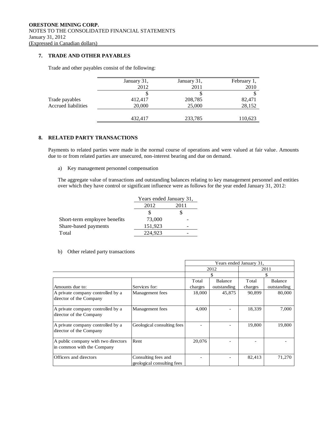## **7. TRADE AND OTHER PAYABLES**

Trade and other payables consist of the following:

|                            | January 31, | January 31, | February 1, |
|----------------------------|-------------|-------------|-------------|
|                            | 2012        | 2011        | 2010        |
|                            |             |             |             |
| Trade payables             | 412,417     | 208,785     | 82,471      |
| <b>Accrued liabilities</b> | 20,000      | 25,000      | 28,152      |
|                            |             |             |             |
|                            | 432,417     | 233,785     | 110,623     |

#### **8. RELATED PARTY TRANSACTIONS**

Payments to related parties were made in the normal course of operations and were valued at fair value. Amounts due to or from related parties are unsecured, non-interest bearing and due on demand.

a) Key management personnel compensation

The aggregate value of transactions and outstanding balances relating to key management personnel and entities over which they have control or significant influence were as follows for the year ended January 31, 2012:

|                              | Years ended January 31, |      |  |  |
|------------------------------|-------------------------|------|--|--|
|                              | 2012                    | 2011 |  |  |
|                              |                         |      |  |  |
| Short-term employee benefits | 73,000                  |      |  |  |
| Share-based payments         | 151,923                 |      |  |  |
| Total                        | 224.923                 |      |  |  |

#### b) Other related party transactions

|                                                                   |                                                   | Years ended January 31, |                |         |                |
|-------------------------------------------------------------------|---------------------------------------------------|-------------------------|----------------|---------|----------------|
|                                                                   |                                                   | 2012<br>2011            |                |         |                |
|                                                                   |                                                   |                         |                |         |                |
|                                                                   |                                                   | Total                   | <b>Balance</b> | Total   | <b>Balance</b> |
| Amounts due to:                                                   | Services for:                                     | charges                 | outstanding    | charges | outstanding    |
| A private company controlled by a<br>director of the Company      | Management fees                                   | 18,000                  | 45,875         | 90,899  | 80,000         |
| A private company controlled by a<br>director of the Company      | Management fees                                   | 4,000                   |                | 18,339  | 7,000          |
| A private company controlled by a<br>director of the Company      | Geological consulting fees                        |                         |                | 19,800  | 19,800         |
| A public company with two directors<br>in common with the Company | Rent                                              | 20,076                  |                |         |                |
| Officers and directors                                            | Consulting fees and<br>geological consulting fees |                         |                | 82,413  | 71,270         |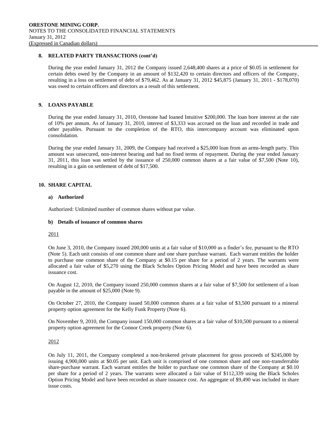## **8. RELATED PARTY TRANSACTIONS (cont'd)**

During the year ended January 31, 2012 the Company issued 2,648,400 shares at a price of \$0.05 in settlement for certain debts owed by the Company in an amount of \$132,420 to certain directors and officers of the Company, resulting in a loss on settlement of debt of \$79,462. As at January 31, 2012 \$45,875 (January 31, 2011 - \$178,070) was owed to certain officers and directors as a result of this settlement.

## **9. LOANS PAYABLE**

During the year ended January 31, 2010, Orestone had loaned Intuitive \$200,000. The loan bore interest at the rate of 10% per annum. As of January 31, 2010, interest of \$3,333 was accrued on the loan and recorded in trade and other payables. Pursuant to the completion of the RTO, this intercompany account was eliminated upon consolidation.

During the year ended January 31, 2009, the Company had received a \$25,000 loan from an arms-length party. This amount was unsecured, non-interest bearing and had no fixed terms of repayment. During the year ended January 31, 2011, this loan was settled by the issuance of 250,000 common shares at a fair value of \$7,500 (Note 10), resulting in a gain on settlement of debt of \$17,500.

## **10. SHARE CAPITAL**

#### **a) Authorized**

Authorized: Unlimited number of common shares without par value.

#### **b) Details of issuance of common shares**

#### 2011

On June 3, 2010, the Company issued 200,000 units at a fair value of \$10,000 as a finder's fee, pursuant to the RTO (Note 5). Each unit consists of one common share and one share purchase warrant. Each warrant entitles the holder to purchase one common share of the Company at \$0.15 per share for a period of 2 years. The warrants were allocated a fair value of \$5,270 using the Black Scholes Option Pricing Model and have been recorded as share issuance cost.

On August 12, 2010, the Company issued 250,000 common shares at a fair value of \$7,500 for settlement of a loan payable in the amount of \$25,000 (Note 9).

On October 27, 2010, the Company issued 50,000 common shares at a fair value of \$3,500 pursuant to a mineral property option agreement for the Kelly Funk Property (Note 6).

On November 9, 2010, the Company issued 150,000 common shares at a fair value of \$10,500 pursuant to a mineral property option agreement for the Connor Creek property (Note 6).

## 2012

On July 11, 2011, the Company completed a non-brokered private placement for gross proceeds of \$245,000 by issuing 4,900,000 units at \$0.05 per unit. Each unit is comprised of one common share and one non-transferrable share-purchase warrant. Each warrant entitles the holder to purchase one common share of the Company at \$0.10 per share for a period of 2 years. The warrants were allocated a fair value of \$112,339 using the Black Scholes Option Pricing Model and have been recorded as share issuance cost. An aggregate of \$9,490 was included in share issue costs.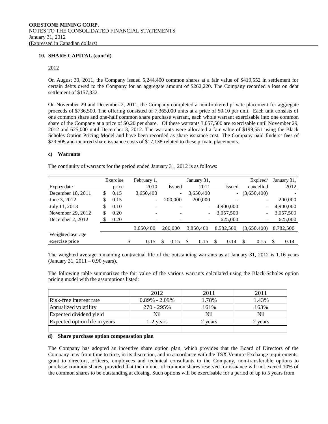#### **10. SHARE CAPITAL (cont'd)**

#### 2012

On August 30, 2011, the Company issued 5,244,400 common shares at a fair value of \$419,552 in settlement for certain debts owed to the Company for an aggregate amount of \$262,220. The Company recorded a loss on debt settlement of \$157,332.

On November 29 and December 2, 2011, the Company completed a non-brokered private placement for aggregate proceeds of \$736,500. The offering consisted of 7,365,000 units at a price of \$0.10 per unit. Each unit consists of one common share and one-half common share purchase warrant, each whole warrant exercisable into one common share of the Company at a price of \$0.20 per share. Of these warrants 3,057,500 are exercisable until November 29, 2012 and 625,000 until December 3, 2012. The warrants were allocated a fair value of \$199,551 using the Black Scholes Option Pricing Model and have been recorded as share issuance cost. The Company paid finders' fees of \$29,505 and incurred share issuance costs of \$17,138 related to these private placements.

#### **c) Warrants**

The continuity of warrants for the period ended January 31, 2012 is as follows:

|                    |   | Exercise |     | February 1,              |                          |   | January 31,              |           |                          |    | Expired/                 |   | January 31, |
|--------------------|---|----------|-----|--------------------------|--------------------------|---|--------------------------|-----------|--------------------------|----|--------------------------|---|-------------|
| Expiry date        |   | price    |     | 2010                     | <b>Issued</b>            |   | 2011                     |           | <b>Issued</b>            |    | cancelled                |   | 2012        |
| December 18, 2011  | S | 0.15     |     | 3,650,400                | $\overline{\phantom{a}}$ |   | 3,650,400                |           | $\overline{\phantom{a}}$ |    | (3,650,400)              |   |             |
| June 3, 2012       | S | 0.15     |     | $\overline{\phantom{0}}$ | 200,000                  |   | 200,000                  |           | ٠                        |    | -                        |   | 200,000     |
| July 11, 2013      | S | 0.10     |     |                          |                          |   |                          | 4,900,000 |                          |    | -                        |   | 4,900,000   |
| November 29, 2012  | S | 0.20     |     |                          |                          |   | $\overline{\phantom{a}}$ | 3,057,500 |                          |    | $\overline{\phantom{0}}$ |   | 3,057,500   |
| December $2, 2012$ |   | 0.20     |     | $\overline{\phantom{a}}$ | $\overline{\phantom{a}}$ |   |                          |           | 625,000                  |    | $\overline{\phantom{0}}$ |   | 625,000     |
|                    |   |          |     | 3,650,400                | 200,000                  |   | 3,850,400                | 8,582,500 |                          |    | (3,650,400)              |   | 8,782,500   |
| Weighted average   |   |          |     |                          |                          |   |                          |           |                          |    |                          |   |             |
| exercise price     |   |          | \$. | 0.15                     | \$<br>0.15               | S | 0.15                     | \$        | 0.14                     | -S | 0.15                     | S | 0.14        |

The weighted average remaining contractual life of the outstanding warrants as at January 31, 2012 is 1.16 years (January 31, 2011 – 0.90 years).

The following table summarizes the fair value of the various warrants calculated using the Black-Scholes option pricing model with the assumptions listed:

|                               | 2012              | 2011    | 2011  |
|-------------------------------|-------------------|---------|-------|
| Risk-free interest rate       | $0.89\% - 2.09\%$ | 1.78%   | 1.43% |
| Annualized volatility         | $270 - 295\%$     | 161%    | 163%  |
| Expected dividend yield       | Nil               | Nil     | Nil   |
| Expected option life in years | $1-2$ years       | 2 years | vears |
|                               |                   |         |       |

#### **d) Share purchase option compensation plan**

The Company has adopted an incentive share option plan, which provides that the Board of Directors of the Company may from time to time, in its discretion, and in accordance with the TSX Venture Exchange requirements, grant to directors, officers, employees and technical consultants to the Company, non-transferable options to purchase common shares, provided that the number of common shares reserved for issuance will not exceed 10% of the common shares to be outstanding at closing. Such options will be exercisable for a period of up to 5 years from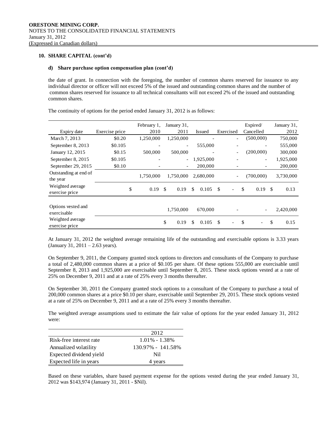## **10. SHARE CAPITAL (cont'd)**

#### **d) Share purchase option compensation plan (cont'd)**

the date of grant. In connection with the foregoing, the number of common shares reserved for issuance to any individual director or officer will not exceed 5% of the issued and outstanding common shares and the number of common shares reserved for issuance to all technical consultants will not exceed 2% of the issued and outstanding common shares.

The continuity of options for the period ended January 31, 2012 is as follows:

|                       |                | February 1,    | January 31,              |             |                          | Expired/                       | January 31,           |
|-----------------------|----------------|----------------|--------------------------|-------------|--------------------------|--------------------------------|-----------------------|
| Expiry date           | Exercise price | 2010           | 2011                     | Issued      | Exercised                | Cancelled                      | 2012                  |
| March 7, 2013         | \$0.20         | 1,250,000      | 1,250,000                |             | $\overline{\phantom{a}}$ | (500,000)                      | 750,000               |
| September 8, 2013     | \$0.105        | $\overline{a}$ | $\overline{\phantom{a}}$ | 555,000     | $\overline{\phantom{a}}$ | $\overline{\phantom{a}}$       | 555,000               |
| January 12, 2015      | \$0.15         | 500,000        | 500,000                  |             | $\qquad \qquad -$        | (200,000)                      | 300,000               |
| September 8, 2015     | \$0.105        |                | $\overline{\phantom{a}}$ | 1,925,000   | $\qquad \qquad$          | $\overline{\phantom{a}}$       | 1,925,000             |
| September 29, 2015    | \$0.10         |                | $\overline{\phantom{a}}$ | 200,000     |                          |                                | 200,000               |
| Outstanding at end of |                | 1,750,000      | 1.750,000                | 2.680,000   | $\overline{\phantom{a}}$ | (700,000)                      | 3,730,000             |
| the year              |                |                |                          |             |                          |                                |                       |
| Weighted average      | \$             | 0.19           | \$<br>0.19               | \$<br>0.105 | \$                       | \$<br>0.19                     | $\mathbf{\$}$<br>0.13 |
| exercise price        |                |                |                          |             |                          |                                |                       |
|                       |                |                |                          |             |                          |                                |                       |
| Options vested and    |                |                | 1,750,000                | 670,000     |                          |                                | 2,420,000             |
| exercisable           |                |                |                          |             |                          | $\overline{\phantom{a}}$       |                       |
| Weighted average      |                |                | \$<br>0.19               | \$<br>0.105 | \$                       | \$<br>$\overline{\phantom{a}}$ | \$<br>0.15            |
| exercise price        |                |                |                          |             |                          |                                |                       |

At January 31, 2012 the weighted average remaining life of the outstanding and exercisable options is 3.33 years (January 31, 2011 – 2.63 years).

On September 9, 2011, the Company granted stock options to directors and consultants of the Company to purchase a total of 2,480,000 common shares at a price of \$0.105 per share. Of these options 555,000 are exercisable until September 8, 2013 and 1,925,000 are exercisable until September 8, 2015. These stock options vested at a rate of 25% on December 9, 2011 and at a rate of 25% every 3 months thereafter.

On September 30, 2011 the Company granted stock options to a consultant of the Company to purchase a total of 200,000 common shares at a price \$0.10 per share, exercisable until September 29, 2015. These stock options vested at a rate of 25% on December 9, 2011 and at a rate of 25% every 3 months thereafter.

The weighted average assumptions used to estimate the fair value of options for the year ended January 31, 2012 were:

|                         | 2012              |
|-------------------------|-------------------|
| Risk-free interest rate | $1.01\% - 1.38\%$ |
| Annualized volatility   | 130.97% - 141.58% |
| Expected dividend yield | Nil.              |
| Expected life in years  | 4 years           |

Based on these variables, share based payment expense for the options vested during the year ended January 31, 2012 was \$143,974 (January 31, 2011 - \$Nil).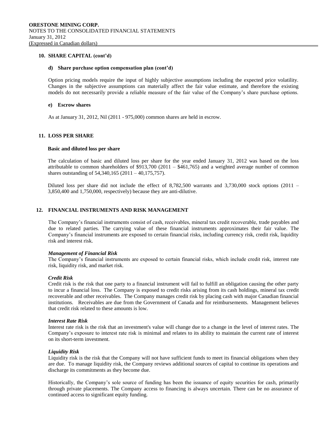## **10. SHARE CAPITAL (cont'd)**

#### **d) Share purchase option compensation plan (cont'd)**

Option pricing models require the input of highly subjective assumptions including the expected price volatility. Changes in the subjective assumptions can materially affect the fair value estimate, and therefore the existing models do not necessarily provide a reliable measure of the fair value of the Company's share purchase options.

#### **e) Escrow shares**

As at January 31, 2012, Nil (2011 - 975,000) common shares are held in escrow.

#### **11. LOSS PER SHARE**

#### **Basic and diluted loss per share**

The calculation of basic and diluted loss per share for the year ended January 31, 2012 was based on the loss attributable to common shareholders of \$913,700 (2011 – \$461,765) and a weighted average number of common shares outstanding of 54,340,165 (2011 – 40,175,757).

Diluted loss per share did not include the effect of 8,782,500 warrants and 3,730,000 stock options (2011 – 3,850,400 and 1,750,000, respectively) because they are anti-dilutive.

#### **12. FINANCIAL INSTRUMENTS AND RISK MANAGEMENT**

The Company's financial instruments consist of cash, receivables, mineral tax credit recoverable, trade payables and due to related parties. The carrying value of these financial instruments approximates their fair value. The Company's financial instruments are exposed to certain financial risks, including currency risk, credit risk, liquidity risk and interest risk.

#### *Management of Financial Risk*

The Company's financial instruments are exposed to certain financial risks, which include credit risk, interest rate risk, liquidity risk, and market risk.

#### *Credit Risk*

Credit risk is the risk that one party to a financial instrument will fail to fulfill an obligation causing the other party to incur a financial loss. The Company is exposed to credit risks arising from its cash holdings, mineral tax credit recoverable and other receivables. The Company manages credit risk by placing cash with major Canadian financial institutions. Receivables are due from the Government of Canada and for reimbursements. Management believes that credit risk related to these amounts is low.

#### *Interest Rate Risk*

Interest rate risk is the risk that an investment's value will change due to a change in the level of interest rates. The Company's exposure to interest rate risk is minimal and relates to its ability to maintain the current rate of interest on its short-term investment.

#### *Liquidity Risk*

Liquidity risk is the risk that the Company will not have sufficient funds to meet its financial obligations when they are due. To manage liquidity risk, the Company reviews additional sources of capital to continue its operations and discharge its commitments as they become due.

Historically, the Company's sole source of funding has been the issuance of equity securities for cash, primarily through private placements. The Company access to financing is always uncertain. There can be no assurance of continued access to significant equity funding.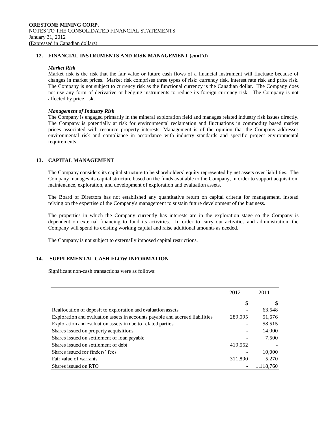## **12. FINANCIAL INSTRUMENTS AND RISK MANAGEMENT (cont'd)**

#### *Market Risk*

Market risk is the risk that the fair value or future cash flows of a financial instrument will fluctuate because of changes in market prices. Market risk comprises three types of risk: currency risk, interest rate risk and price risk. The Company is not subject to currency risk as the functional currency is the Canadian dollar. The Company does not use any form of derivative or hedging instruments to reduce its foreign currency risk. The Company is not affected by price risk.

## *Management of Industry Risk*

The Company is engaged primarily in the mineral exploration field and manages related industry risk issues directly. The Company is potentially at risk for environmental reclamation and fluctuations in commodity based market prices associated with resource property interests. Management is of the opinion that the Company addresses environmental risk and compliance in accordance with industry standards and specific project environmental requirements.

## **13. CAPITAL MANAGEMENT**

The Company considers its capital structure to be shareholders' equity represented by net assets over liabilities. The Company manages its capital structure based on the funds available to the Company, in order to support acquisition, maintenance, exploration, and development of exploration and evaluation assets.

The Board of Directors has not established any quantitative return on capital criteria for management, instead relying on the expertise of the Company's management to sustain future development of the business.

The properties in which the Company currently has interests are in the exploration stage so the Company is dependent on external financing to fund its activities. In order to carry out activities and administration, the Company will spend its existing working capital and raise additional amounts as needed.

The Company is not subject to externally imposed capital restrictions.

### **14. SUPPLEMENTAL CASH FLOW INFORMATION**

Significant non-cash transactions were as follows:

|                                                                               | 2012    | 2011      |
|-------------------------------------------------------------------------------|---------|-----------|
|                                                                               | \$      | <b>S</b>  |
| Reallocation of deposit to exploration and evaluation assets                  |         | 63,548    |
| Exploration and evaluation assets in accounts payable and accrued liabilities | 289,095 | 51,676    |
| Exploration and evaluation assets in due to related parties                   |         | 58,515    |
| Shares issued on property acquisitions                                        |         | 14,000    |
| Shares issued on settlement of loan payable                                   |         | 7,500     |
| Shares issued on settlement of debt.                                          | 419,552 |           |
| Shares issued for finders' fees                                               |         | 10,000    |
| Fair value of warrants                                                        | 311,890 | 5,270     |
| Shares issued on RTO                                                          |         | 1,118,760 |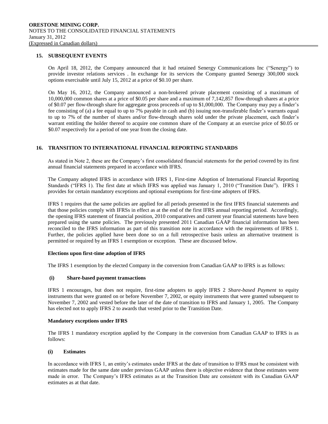## **15. SUBSEQUENT EVENTS**

On April 18, 2012, the Company announced that it had retained Senergy Communications Inc ("Senergy") to provide investor relations services . In exchange for its services the Company granted Senergy 300,000 stock options exercisable until July 15, 2012 at a price of \$0.10 per share.

On May 16, 2012, the Company announced a non-brokered private placement consisting of a maximum of 10,000,000 common shares at a price of \$0.05 per share and a maximum of 7,142,857 flow-through shares at a price of \$0.07 per flow-through share for aggregate gross proceeds of up to \$1,000,000. The Company may pay a finder's fee consisting of (a) a fee equal to up to 7% payable in cash and (b) issuing non-transferable finder's warrants equal to up to 7% of the number of shares and/or flow-through shares sold under the private placement, each finder's warrant entitling the holder thereof to acquire one common share of the Company at an exercise price of \$0.05 or \$0.07 respectively for a period of one year from the closing date.

## **16. TRANSITION TO INTERNATIONAL FINANCIAL REPORTING STANDARDS**

As stated in Note 2, these are the Company's first consolidated financial statements for the period covered by its first annual financial statements prepared in accordance with IFRS.

The Company adopted IFRS in accordance with IFRS 1, First-time Adoption of International Financial Reporting Standards ("IFRS 1). The first date at which IFRS was applied was January 1, 2010 ("Transition Date"). IFRS 1 provides for certain mandatory exceptions and optional exemptions for first-time adopters of IFRS.

IFRS 1 requires that the same policies are applied for all periods presented in the first IFRS financial statements and that those policies comply with IFRSs in effect as at the end of the first IFRS annual reporting period. Accordingly, the opening IFRS statement of financial position, 2010 comparatives and current year financial statements have been prepared using the same policies. The previously presented 2011 Canadian GAAP financial information has been reconciled to the IFRS information as part of this transition note in accordance with the requirements of IFRS 1. Further, the policies applied have been done so on a full retrospective basis unless an alternative treatment is permitted or required by an IFRS 1 exemption or exception. These are discussed below.

#### **Elections upon first-time adoption of IFRS**

The IFRS 1 exemption by the elected Company in the conversion from Canadian GAAP to IFRS is as follows:

#### **(i) Share-based payment transactions**

IFRS 1 encourages, but does not require, first-time adopters to apply IFRS 2 *Share-based Payment* to equity instruments that were granted on or before November 7, 2002, or equity instruments that were granted subsequent to November 7, 2002 and vested before the later of the date of transition to IFRS and January 1, 2005. The Company has elected not to apply IFRS 2 to awards that vested prior to the Transition Date.

#### **Mandatory exceptions under IFRS**

The IFRS 1 mandatory exception applied by the Company in the conversion from Canadian GAAP to IFRS is as follows:

#### **(i) Estimates**

In accordance with IFRS 1, an entity's estimates under IFRS at the date of transition to IFRS must be consistent with estimates made for the same date under previous GAAP unless there is objective evidence that those estimates were made in error. The Company's IFRS estimates as at the Transition Date are consistent with its Canadian GAAP estimates as at that date.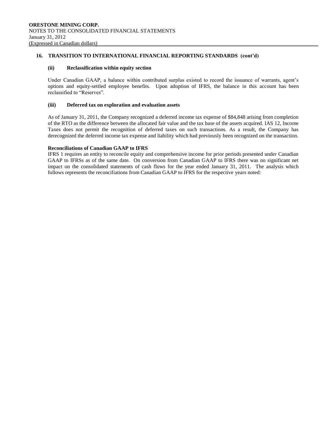## **16. TRANSITION TO INTERNATIONAL FINANCIAL REPORTING STANDARDS (cont'd)**

## **(ii) Reclassification within equity section**

Under Canadian GAAP, a balance within contributed surplus existed to record the issuance of warrants, agent's options and equity-settled employee benefits. Upon adoption of IFRS, the balance in this account has been reclassified to "Reserves".

# **(iii) Deferred tax on exploration and evaluation assets**

As of January 31, 2011, the Company recognized a deferred income tax expense of \$84,848 arising from completion of the RTO as the difference between the allocated fair value and the tax base of the assets acquired. IAS 12, Income Taxes does not permit the recognition of deferred taxes on such transactions. As a result, the Company has derecognized the deferred income tax expense and liability which had previously been recognized on the transaction.

## **Reconciliations of Canadian GAAP to IFRS**

IFRS 1 requires an entity to reconcile equity and comprehensive income for prior periods presented under Canadian GAAP to IFRSs as of the same date. On conversion from Canadian GAAP to IFRS there was no significant net impact on the consolidated statements of cash flows for the year ended January 31, 2011. The analysis which follows represents the reconciliations from Canadian GAAP to IFRS for the respective years noted: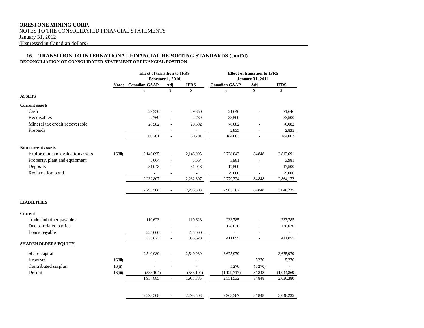## **ORESTONE MINING CORP.** NOTES TO THE CONSOLIDATED FINANCIAL STATEMENTS January 31, 2012 (Expressed in Canadian dollars)

## **16. TRANSITION TO INTERNATIONAL FINANCIAL REPORTING STANDARDS (cont'd) RECONCILIATION OF CONSOLIDATED STATEMENT OF FINANCIAL POSITION**

|                                   |         | <b>Effect of transition to IFRS</b><br><b>February 1, 2010</b> |                          |                          | <b>Effect of transition to IFRS</b><br><b>January 31, 2011</b> |                          |             |
|-----------------------------------|---------|----------------------------------------------------------------|--------------------------|--------------------------|----------------------------------------------------------------|--------------------------|-------------|
|                                   |         | Notes Canadian GAAP                                            | Adj                      | <b>IFRS</b>              | <b>Canadian GAAP</b>                                           | Adj                      | <b>IFRS</b> |
| <b>ASSETS</b>                     |         | \$                                                             | \$                       | \$                       | \$                                                             | \$                       | \$          |
|                                   |         |                                                                |                          |                          |                                                                |                          |             |
| <b>Current assets</b>             |         |                                                                |                          |                          |                                                                |                          |             |
| Cash                              |         | 29,350                                                         |                          | 29,350                   | 21,646                                                         |                          | 21,646      |
| Receivables                       |         | 2,769                                                          |                          | 2,769                    | 83,500                                                         |                          | 83,500      |
| Mineral tax credit recoverable    |         | 28,582                                                         | L,                       | 28,582                   | 76,082                                                         |                          | 76,082      |
| Prepaids                          |         |                                                                |                          | $\overline{\phantom{a}}$ | 2,835                                                          | $\overline{\phantom{a}}$ | 2,835       |
|                                   |         | 60,701                                                         | $\overline{a}$           | 60,701                   | 184,063                                                        | $\overline{a}$           | 184,063     |
| <b>Non-current assets</b>         |         |                                                                |                          |                          |                                                                |                          |             |
| Exploration and evaluation assets | 16(iii) | 2,146,095                                                      |                          | 2,146,095                | 2,728,843                                                      | 84,848                   | 2,813,691   |
| Property, plant and equipment     |         | 5,664                                                          | L,                       | 5,664                    | 3,981                                                          | L,                       | 3,981       |
| Deposits                          |         | 81,048                                                         | L,                       | 81,048                   | 17,500                                                         |                          | 17,500      |
| Reclamation bond                  |         | $\overline{\phantom{a}}$                                       | $\overline{\phantom{a}}$ | $\overline{\phantom{a}}$ | 29,000                                                         | $\overline{\phantom{a}}$ | 29,000      |
|                                   |         | 2,232,807                                                      | ÷,                       | 2,232,807                | 2,779,324                                                      | 84,848                   | 2,864,172   |
|                                   |         | 2,293,508                                                      |                          | 2,293,508                | 2,963,387                                                      | 84,848                   | 3,048,235   |
| <b>LIABILITIES</b>                |         |                                                                |                          |                          |                                                                |                          |             |
| <b>Current</b>                    |         |                                                                |                          |                          |                                                                |                          |             |
| Trade and other payables          |         | 110,623                                                        | L,                       | 110,623                  | 233,785                                                        |                          | 233,785     |
| Due to related parties            |         |                                                                |                          |                          | 178,070                                                        |                          | 178,070     |
| Loans payable                     |         | 225,000                                                        | $\overline{\phantom{a}}$ | 225,000                  | $\overline{\phantom{a}}$                                       | $\overline{\phantom{a}}$ | $\sim$      |
|                                   |         | 335,623                                                        | $\overline{\phantom{a}}$ | 335,623                  | 411,855                                                        | $\overline{\phantom{a}}$ | 411.855     |
| <b>SHAREHOLDERS EQUITY</b>        |         |                                                                |                          |                          |                                                                |                          |             |
| Share capital                     |         | 2,540,989                                                      |                          | 2,540,989                | 3,675,979                                                      | $\blacksquare$           | 3,675,979   |
| Reserves                          | 16(iii) |                                                                |                          |                          |                                                                | 5,270                    | 5,270       |
| Contributed surplus               | 16(ii)  |                                                                |                          |                          | 5,270                                                          | (5,270)                  |             |
| Deficit                           | 16(iii) | (583, 104)                                                     |                          | (583, 104)               | (1, 129, 717)                                                  | 84,848                   | (1,044,869) |
|                                   |         | 1,957,885                                                      | $\overline{\phantom{a}}$ | 1,957,885                | 2,551,532                                                      | 84,848                   | 2,636,380   |
|                                   |         | 2,293,508                                                      |                          | 2,293,508                | 2,963,387                                                      | 84,848                   | 3,048,235   |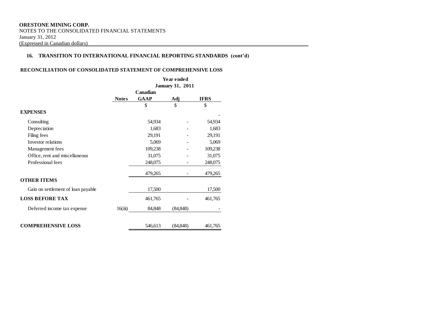# **16. TRANSITION TO INTERNATIONAL FINANCIAL REPORTING STANDARDS (cont'd)**

# **RECONCILIATION OF CONSOLIDATED STATEMENT OF COMPREHENSIVE LOSS**

|                                    |              | <b>Year ended</b><br><b>January 31, 2011</b> |                          |             |  |  |  |
|------------------------------------|--------------|----------------------------------------------|--------------------------|-------------|--|--|--|
|                                    |              | Canadian                                     |                          |             |  |  |  |
|                                    | <b>Notes</b> | <b>GAAP</b>                                  | Adj                      | <b>IFRS</b> |  |  |  |
|                                    |              | \$                                           | \$                       | \$          |  |  |  |
| <b>EXPENSES</b>                    |              |                                              |                          |             |  |  |  |
| Consulting                         |              | 54,934                                       |                          | 54,934      |  |  |  |
| Depreciation                       |              | 1,683                                        |                          | 1,683       |  |  |  |
| Filing fees                        |              | 29,191                                       |                          | 29,191      |  |  |  |
| Investor relations                 |              | 5,069                                        |                          | 5,069       |  |  |  |
| Management fees                    |              | 109,238                                      |                          | 109,238     |  |  |  |
| Office, rent and miscellaneous     |              | 31,075                                       |                          | 31,075      |  |  |  |
| Professional fees                  |              | 248,075                                      | $\overline{\phantom{0}}$ | 248,075     |  |  |  |
|                                    |              | 479,265                                      |                          | 479,265     |  |  |  |
| <b>OTHER ITEMS</b>                 |              |                                              |                          |             |  |  |  |
| Gain on settlement of loan payable |              | 17,500                                       |                          | 17,500      |  |  |  |
| <b>LOSS BEFORE TAX</b>             |              | 461,765                                      |                          | 461,765     |  |  |  |
| Deferred income tax expense        | 16(iii)      | 84,848                                       | (84, 848)                |             |  |  |  |
| <b>COMPREHENSIVE LOSS</b>          |              | 546,613                                      | (84, 848)                | 461,765     |  |  |  |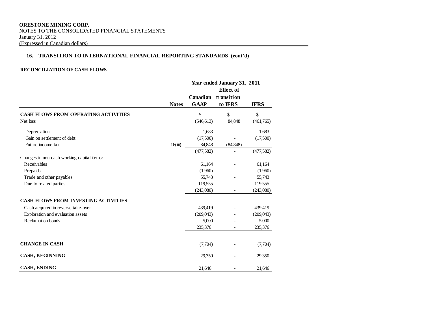# **16. TRANSITION TO INTERNATIONAL FINANCIAL REPORTING STANDARDS (cont'd)**

# **RECONCILIATION OF CASH FLOWS**

|                                             |              | Year ended January 31, 2011 |                  |             |  |  |
|---------------------------------------------|--------------|-----------------------------|------------------|-------------|--|--|
|                                             |              |                             | <b>Effect</b> of |             |  |  |
|                                             |              | Canadian                    | transition       |             |  |  |
|                                             | <b>Notes</b> | <b>GAAP</b>                 | to IFRS          | <b>IFRS</b> |  |  |
| CASH FLOWS FROM OPERATING ACTIVITIES        |              | \$                          | \$               | \$          |  |  |
| Net loss                                    |              | (546, 613)                  | 84,848           | (461,765)   |  |  |
| Depreciation                                |              | 1,683                       |                  | 1,683       |  |  |
| Gain on settlement of debt                  |              | (17,500)                    |                  | (17,500)    |  |  |
| Future income tax                           | 16(iii)      | 84,848                      | (84, 848)        |             |  |  |
|                                             |              | (477, 582)                  |                  | (477,582)   |  |  |
| Changes in non-cash working-capital items:  |              |                             |                  |             |  |  |
| Receivables                                 |              | 61,164                      |                  | 61,164      |  |  |
| Prepaids                                    |              | (1,960)                     |                  | (1,960)     |  |  |
| Trade and other payables                    |              | 55,743                      |                  | 55,743      |  |  |
| Due to related parties                      |              | 119,555                     |                  | 119,555     |  |  |
|                                             |              | (243,080)                   |                  | (243,080)   |  |  |
| <b>CASH FLOWS FROM INVESTING ACTIVITIES</b> |              |                             |                  |             |  |  |
| Cash acquired in reverse take-over          |              | 439,419                     |                  | 439,419     |  |  |
| Exploration and evaluation assets           |              | (209,043)                   |                  | (209,043)   |  |  |
| <b>Reclamation</b> bonds                    |              | 5,000                       |                  | 5,000       |  |  |
|                                             |              | 235,376                     |                  | 235,376     |  |  |
|                                             |              |                             |                  |             |  |  |
| <b>CHANGE IN CASH</b>                       |              | (7,704)                     |                  | (7,704)     |  |  |
| <b>CASH, BEGINNING</b>                      |              | 29,350                      |                  | 29,350      |  |  |
| <b>CASH, ENDING</b>                         |              | 21,646                      |                  | 21,646      |  |  |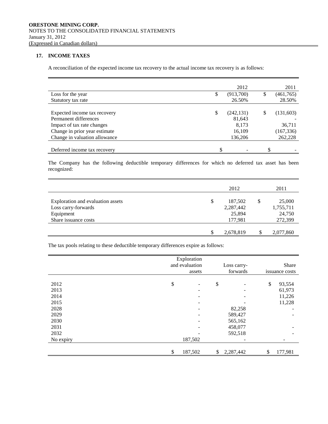# **17. INCOME TAXES**

A reconciliation of the expected income tax recovery to the actual income tax recovery is as follows:

|                               | 2012             |    | 2011       |
|-------------------------------|------------------|----|------------|
| Loss for the year             | \$<br>(913,700)  | S  | (461,765)  |
| Statutory tax rate            | 26.50%           |    | 28.50%     |
|                               |                  |    |            |
| Expected income tax recovery  | \$<br>(242, 131) | S  | (131,603)  |
| Permanent differences         | 81,643           |    |            |
| Impact of tax rate changes    | 8,173            |    | 36,711     |
| Change in prior year estimate | 16,109           |    | (167, 336) |
| Change in valuation allowance | 136,206          |    | 262,228    |
|                               |                  |    |            |
| Deferred income tax recovery  |                  | \$ |            |

The Company has the following deductible temporary differences for which no deferred tax asset has been recognized:

|                                                          |    | 2012                 |   | 2011                |
|----------------------------------------------------------|----|----------------------|---|---------------------|
| Exploration and evaluation assets<br>Loss carry-forwards | S  | 187,502<br>2,287,442 | S | 25,000<br>1,755,711 |
| Equipment<br>Share issuance costs                        |    | 25,894<br>177,981    |   | 24,750<br>272,399   |
|                                                          | \$ | 2,678,819            | S | 2,077,860           |

The tax pools relating to these deductible temporary differences expire as follows:

|           |    | Exploration<br>and evaluation<br>assets |    |                         |    |                         |  |
|-----------|----|-----------------------------------------|----|-------------------------|----|-------------------------|--|
|           |    |                                         |    | Loss carry-<br>forwards |    | Share<br>issuance costs |  |
|           |    |                                         |    |                         |    |                         |  |
| 2012      | \$ |                                         | \$ |                         | \$ | 93,554                  |  |
| 2013      |    | $\overline{\phantom{a}}$                |    |                         |    | 61,973                  |  |
| 2014      |    |                                         |    |                         |    | 11,226                  |  |
| 2015      |    |                                         |    |                         |    | 11,228                  |  |
| 2028      |    | ۰                                       |    | 82,258                  |    | -                       |  |
| 2029      |    |                                         |    | 589,427                 |    |                         |  |
| 2030      |    |                                         |    | 565,162                 |    |                         |  |
| 2031      |    |                                         |    | 458,077                 |    |                         |  |
| 2032      |    |                                         |    | 592,518                 |    |                         |  |
| No expiry |    | 187,502                                 |    |                         |    |                         |  |
|           | \$ | 187,502                                 | \$ | 2,287,442               | \$ | 177,981                 |  |